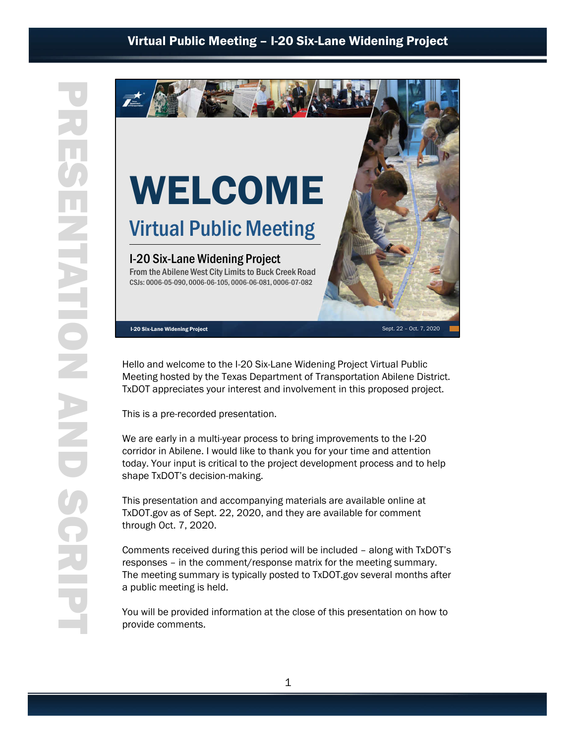

Hello and welcome to the I-20 Six-Lane Widening Project Virtual Public Meeting hosted by the Texas Department of Transportation Abilene District. TxDOT appreciates your interest and involvement in this proposed project.

This is a pre-recorded presentation.

We are early in a multi-year process to bring improvements to the I-20 corridor in Abilene. I would like to thank you for your time and attention today. Your input is critical to the project development process and to help shape TxDOT's decision-making.

This presentation and accompanying materials are available online at TxDOT.gov as of Sept. 22, 2020, and they are available for comment through Oct. 7, 2020.

Comments received during this period will be included – along with TxDOT's responses – in the comment/response matrix for the meeting summary. The meeting summary is typically posted to TxDOT.gov several months after a public meeting is held.

You will be provided information at the close of this presentation on how to provide comments.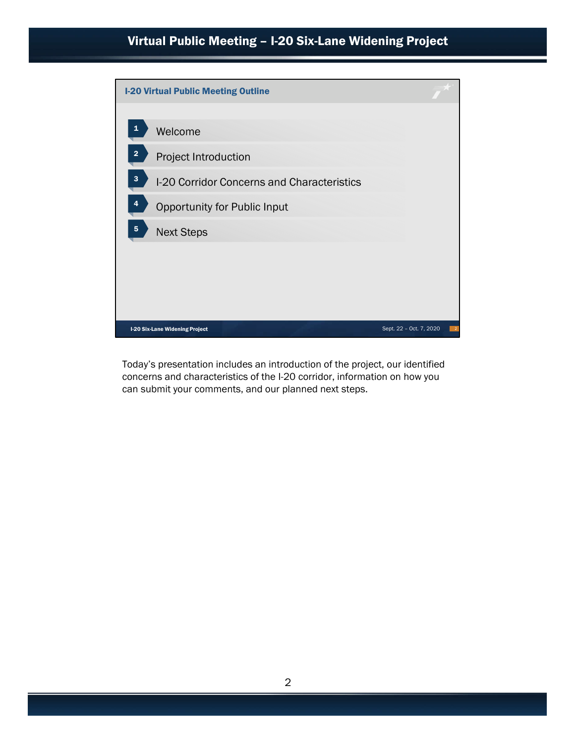

Today's presentation includes an introduction of the project, our identified concerns and characteristics of the I-20 corridor, information on how you can submit your comments, and our planned next steps.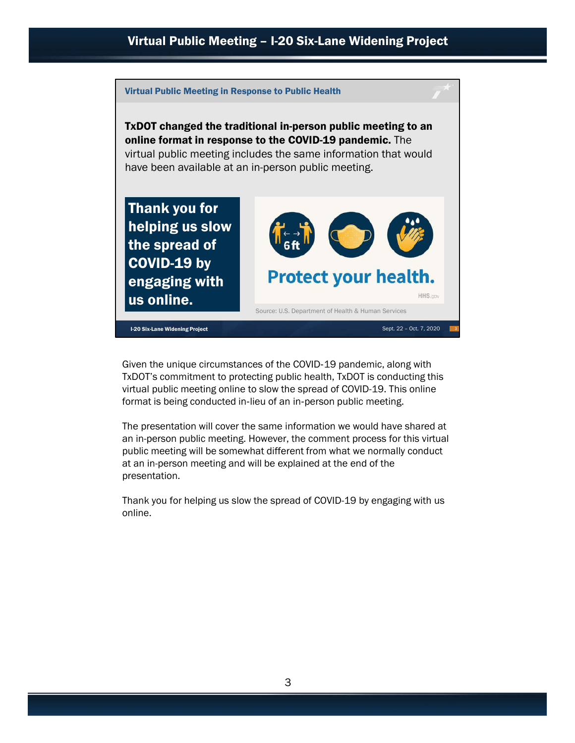

Given the unique circumstances of the COVID‐19 pandemic, along with TxDOT's commitment to protecting public health, TxDOT is conducting this virtual public meeting online to slow the spread of COVID-19. This online format is being conducted in‐lieu of an in‐person public meeting.

The presentation will cover the same information we would have shared at an in-person public meeting. However, the comment process for this virtual public meeting will be somewhat different from what we normally conduct at an in-person meeting and will be explained at the end of the presentation.

Thank you for helping us slow the spread of COVID-19 by engaging with us online.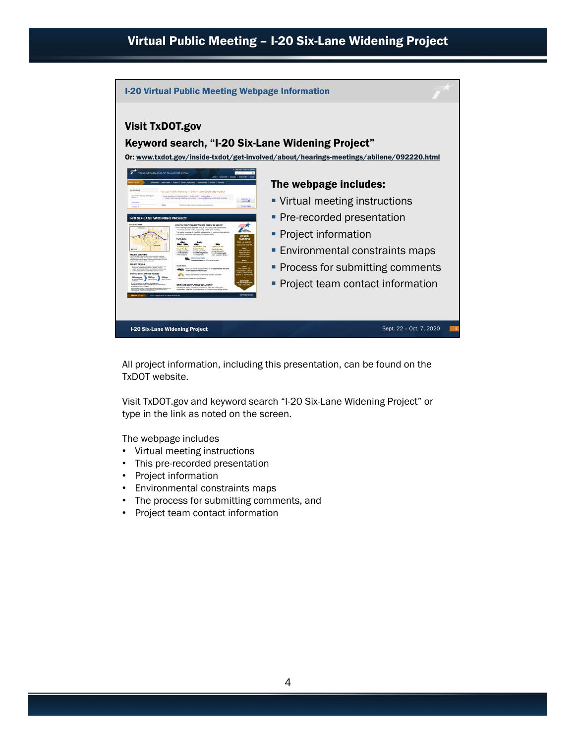

All project information, including this presentation, can be found on the TxDOT website.

Visit TxDOT.gov and keyword search "I-20 Six-Lane Widening Project" or type in the link as noted on the screen.

The webpage includes

- Virtual meeting instructions
- This pre-recorded presentation
- Project information
- Environmental constraints maps
- The process for submitting comments, and
- Project team contact information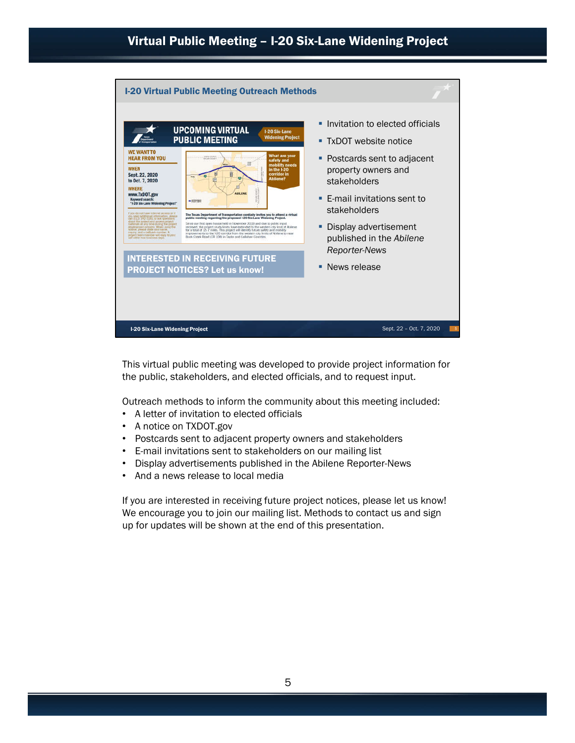

This virtual public meeting was developed to provide project information for the public, stakeholders, and elected officials, and to request input.

Outreach methods to inform the community about this meeting included:

- A letter of invitation to elected officials
- A notice on TXDOT.gov
- Postcards sent to adjacent property owners and stakeholders
- E-mail invitations sent to stakeholders on our mailing list
- Display advertisements published in the Abilene Reporter-News
- And a news release to local media

If you are interested in receiving future project notices, please let us know! We encourage you to join our mailing list. Methods to contact us and sign up for updates will be shown at the end of this presentation.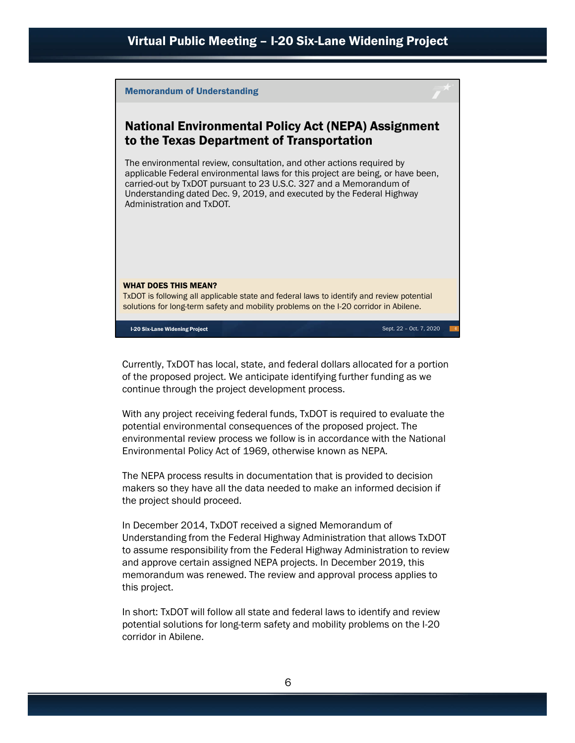Memorandum of Understanding

## National Environmental Policy Act (NEPA) Assignment to the Texas Department of Transportation

The environmental review, consultation, and other actions required by applicable Federal environmental laws for this project are being, or have been, carried-out by TxDOT pursuant to 23 U.S.C. 327 and a Memorandum of Understanding dated Dec. 9, 2019, and executed by the Federal Highway Administration and TxDOT.

WHAT DOES THIS MEAN?

TxDOT is following all applicable state and federal laws to identify and review potential solutions for long-term safety and mobility problems on the I-20 corridor in Abilene.

I-20 Six-Lane Widening Project **Sept. 22 – Oct. 7, 2020** 

Currently, TxDOT has local, state, and federal dollars allocated for a portion of the proposed project. We anticipate identifying further funding as we continue through the project development process.

With any project receiving federal funds, TxDOT is required to evaluate the potential environmental consequences of the proposed project. The environmental review process we follow is in accordance with the National Environmental Policy Act of 1969, otherwise known as NEPA.

The NEPA process results in documentation that is provided to decision makers so they have all the data needed to make an informed decision if the project should proceed.

In December 2014, TxDOT received a signed Memorandum of Understanding from the Federal Highway Administration that allows TxDOT to assume responsibility from the Federal Highway Administration to review and approve certain assigned NEPA projects. In December 2019, this memorandum was renewed. The review and approval process applies to this project.

In short: TxDOT will follow all state and federal laws to identify and review potential solutions for long-term safety and mobility problems on the I-20 corridor in Abilene.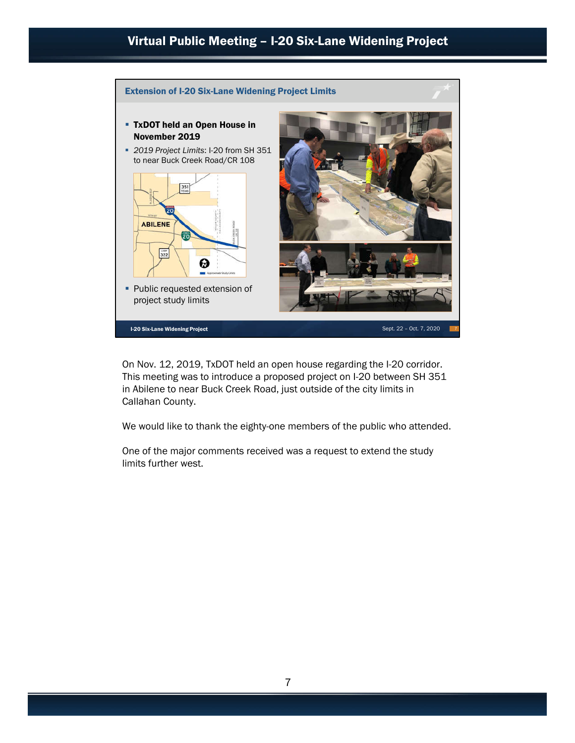

On Nov. 12, 2019, TxDOT held an open house regarding the I-20 corridor. This meeting was to introduce a proposed project on I-20 between SH 351 in Abilene to near Buck Creek Road, just outside of the city limits in Callahan County.

We would like to thank the eighty-one members of the public who attended.

One of the major comments received was a request to extend the study limits further west.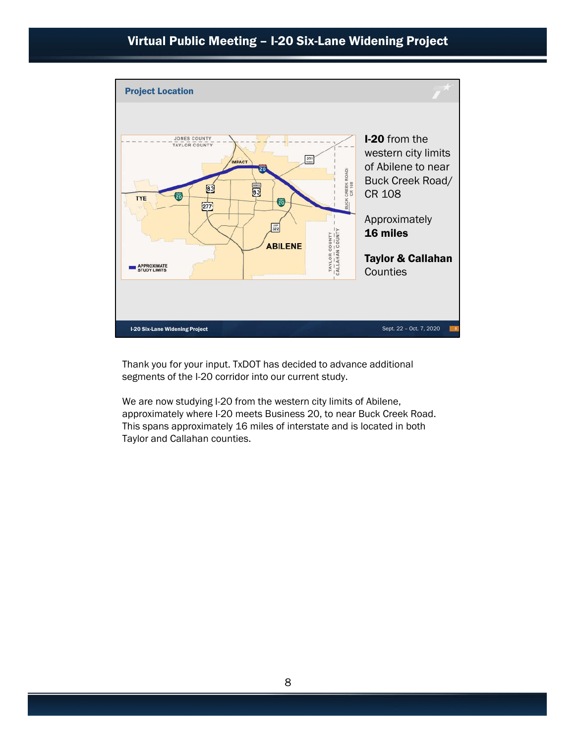

Thank you for your input. TxDOT has decided to advance additional segments of the I-20 corridor into our current study.

We are now studying I-20 from the western city limits of Abilene, approximately where I-20 meets Business 20, to near Buck Creek Road. This spans approximately 16 miles of interstate and is located in both Taylor and Callahan counties.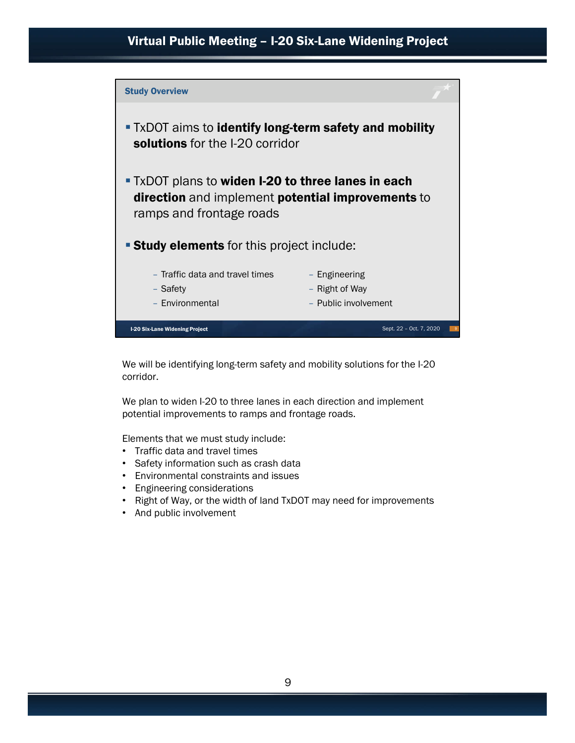

We will be identifying long-term safety and mobility solutions for the I-20 corridor.

We plan to widen I-20 to three lanes in each direction and implement potential improvements to ramps and frontage roads.

Elements that we must study include:

- Traffic data and travel times
- Safety information such as crash data
- Environmental constraints and issues
- Engineering considerations
- Right of Way, or the width of land TxDOT may need for improvements
- And public involvement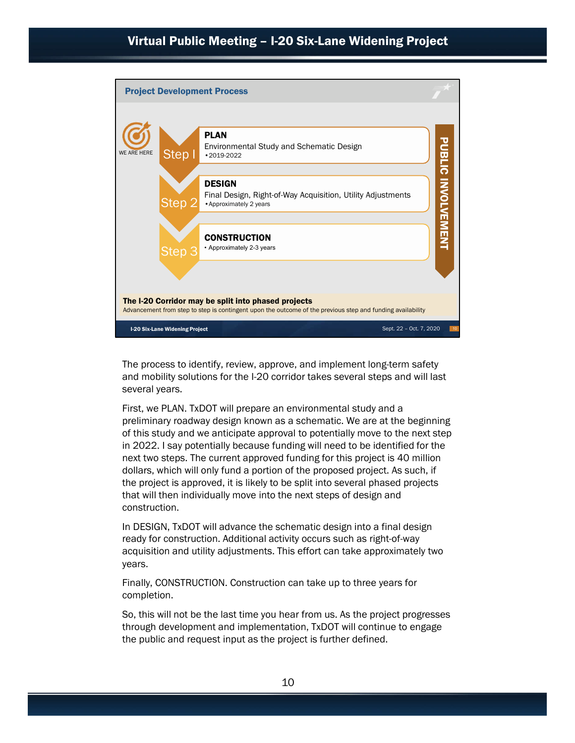

The process to identify, review, approve, and implement long-term safety and mobility solutions for the I-20 corridor takes several steps and will last several years.

First, we PLAN. TxDOT will prepare an environmental study and a preliminary roadway design known as a schematic. We are at the beginning of this study and we anticipate approval to potentially move to the next step in 2022. I say potentially because funding will need to be identified for the next two steps. The current approved funding for this project is 40 million dollars, which will only fund a portion of the proposed project. As such, if the project is approved, it is likely to be split into several phased projects that will then individually move into the next steps of design and construction.

In DESIGN, TxDOT will advance the schematic design into a final design ready for construction. Additional activity occurs such as right-of-way acquisition and utility adjustments. This effort can take approximately two years.

Finally, CONSTRUCTION. Construction can take up to three years for completion.

So, this will not be the last time you hear from us. As the project progresses through development and implementation, TxDOT will continue to engage the public and request input as the project is further defined.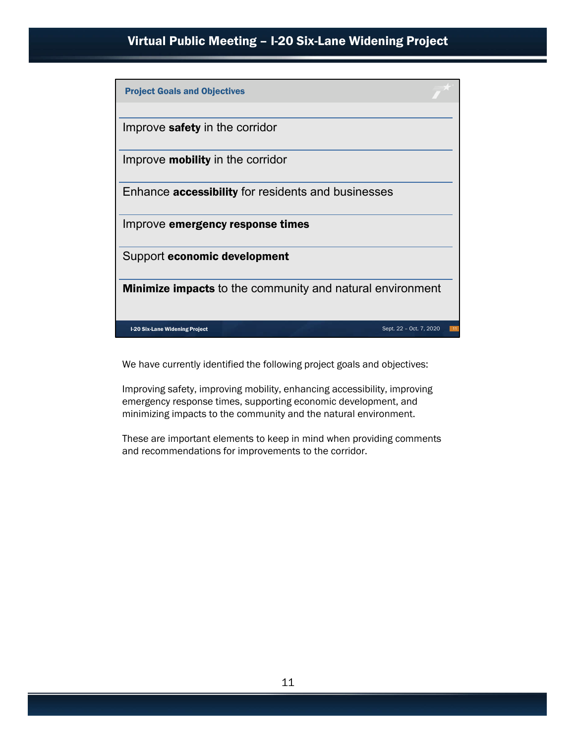| <b>Project Goals and Objectives</b>                              |  |
|------------------------------------------------------------------|--|
|                                                                  |  |
| Improve safety in the corridor                                   |  |
| Improve <b>mobility</b> in the corridor                          |  |
| Enhance <b>accessibility</b> for residents and businesses        |  |
| Improve emergency response times                                 |  |
| Support economic development                                     |  |
| Minimize impacts to the community and natural environment        |  |
| Sept. 22 - Oct. 7, 2020<br><b>I-20 Six-Lane Widening Project</b> |  |

We have currently identified the following project goals and objectives:

Improving safety, improving mobility, enhancing accessibility, improving emergency response times, supporting economic development, and minimizing impacts to the community and the natural environment.

These are important elements to keep in mind when providing comments and recommendations for improvements to the corridor.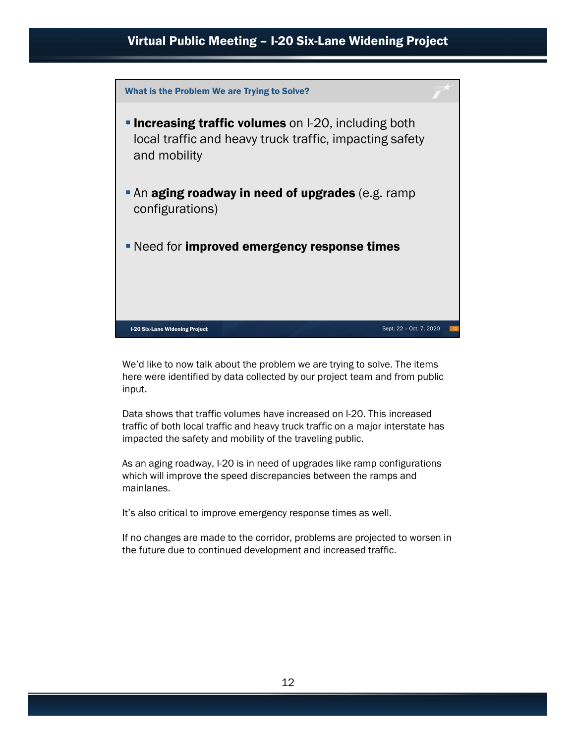

We'd like to now talk about the problem we are trying to solve. The items here were identified by data collected by our project team and from public input.

Data shows that traffic volumes have increased on I-20. This increased traffic of both local traffic and heavy truck traffic on a major interstate has impacted the safety and mobility of the traveling public.

As an aging roadway, I-20 is in need of upgrades like ramp configurations which will improve the speed discrepancies between the ramps and mainlanes.

It's also critical to improve emergency response times as well.

If no changes are made to the corridor, problems are projected to worsen in the future due to continued development and increased traffic.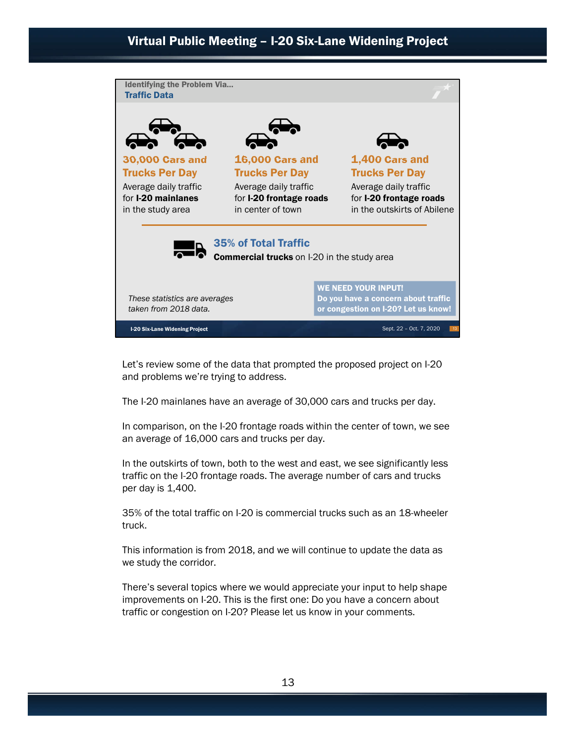

Let's review some of the data that prompted the proposed project on I-20 and problems we're trying to address.

The I-20 mainlanes have an average of 30,000 cars and trucks per day.

In comparison, on the I-20 frontage roads within the center of town, we see an average of 16,000 cars and trucks per day.

In the outskirts of town, both to the west and east, we see significantly less traffic on the I-20 frontage roads. The average number of cars and trucks per day is 1,400.

35% of the total traffic on I-20 is commercial trucks such as an 18-wheeler truck.

This information is from 2018, and we will continue to update the data as we study the corridor.

There's several topics where we would appreciate your input to help shape improvements on I-20. This is the first one: Do you have a concern about traffic or congestion on I-20? Please let us know in your comments.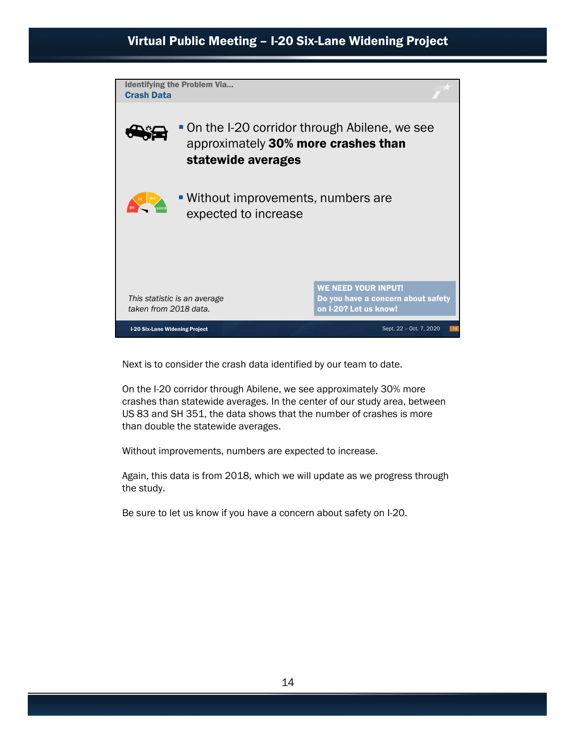

Next is to consider the crash data identified by our team to date.

On the I-20 corridor through Abilene, we see approximately 30% more crashes than statewide averages. In the center of our study area, between US 83 and SH 351, the data shows that the number of crashes is more than double the statewide averages.

Without improvements, numbers are expected to increase.

Again, this data is from 2018, which we will update as we progress through the study.

Be sure to let us know if you have a concern about safety on I-20.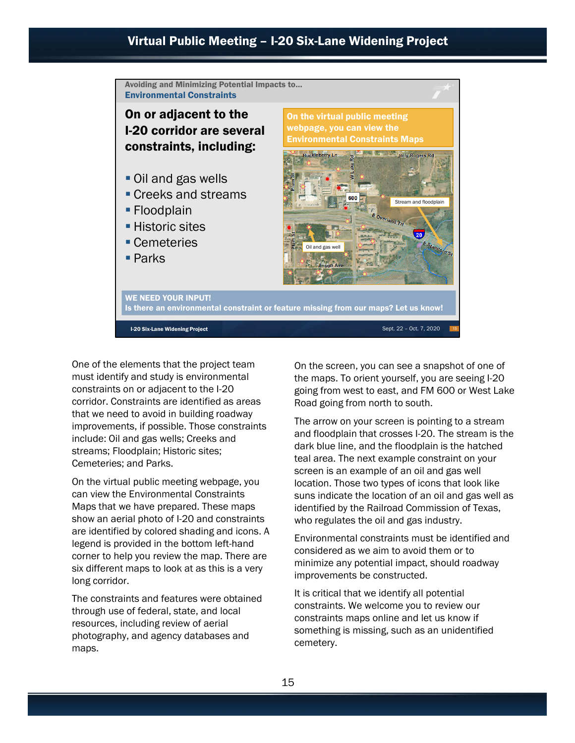

One of the elements that the project team must identify and study is environmental constraints on or adjacent to the I-20 corridor. Constraints are identified as areas that we need to avoid in building roadway improvements, if possible. Those constraints include: Oil and gas wells; Creeks and streams; Floodplain; Historic sites; Cemeteries; and Parks.

On the virtual public meeting webpage, you can view the Environmental Constraints Maps that we have prepared. These maps show an aerial photo of I-20 and constraints are identified by colored shading and icons. A legend is provided in the bottom left-hand corner to help you review the map. There are six different maps to look at as this is a very long corridor.

The constraints and features were obtained through use of federal, state, and local resources, including review of aerial photography, and agency databases and maps.

On the screen, you can see a snapshot of one of the maps. To orient yourself, you are seeing I-20 going from west to east, and FM 600 or West Lake Road going from north to south.

The arrow on your screen is pointing to a stream and floodplain that crosses I-20. The stream is the dark blue line, and the floodplain is the hatched teal area. The next example constraint on your screen is an example of an oil and gas well location. Those two types of icons that look like suns indicate the location of an oil and gas well as identified by the Railroad Commission of Texas, who regulates the oil and gas industry.

Environmental constraints must be identified and considered as we aim to avoid them or to minimize any potential impact, should roadway improvements be constructed.

It is critical that we identify all potential constraints. We welcome you to review our constraints maps online and let us know if something is missing, such as an unidentified cemetery.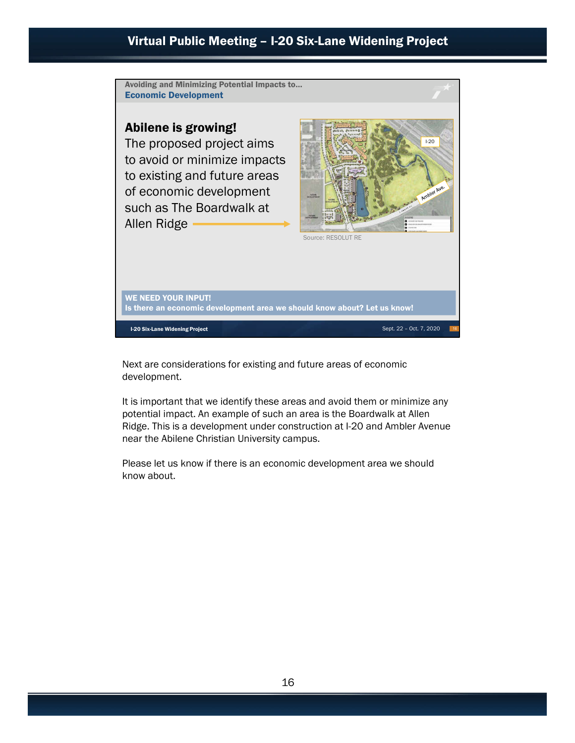

Next are considerations for existing and future areas of economic development.

It is important that we identify these areas and avoid them or minimize any potential impact. An example of such an area is the Boardwalk at Allen Ridge. This is a development under construction at I-20 and Ambler Avenue near the Abilene Christian University campus.

Please let us know if there is an economic development area we should know about.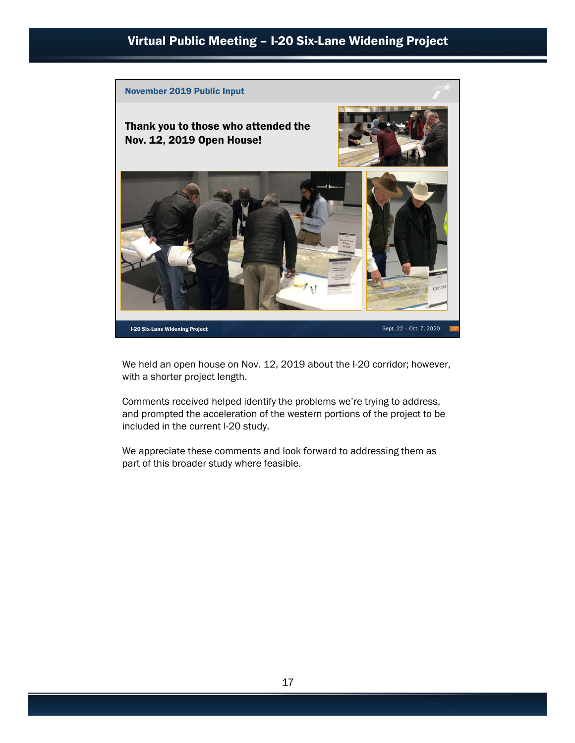

We held an open house on Nov. 12, 2019 about the I-20 corridor; however, with a shorter project length.

Comments received helped identify the problems we're trying to address, and prompted the acceleration of the western portions of the project to be included in the current I-20 study.

We appreciate these comments and look forward to addressing them as part of this broader study where feasible.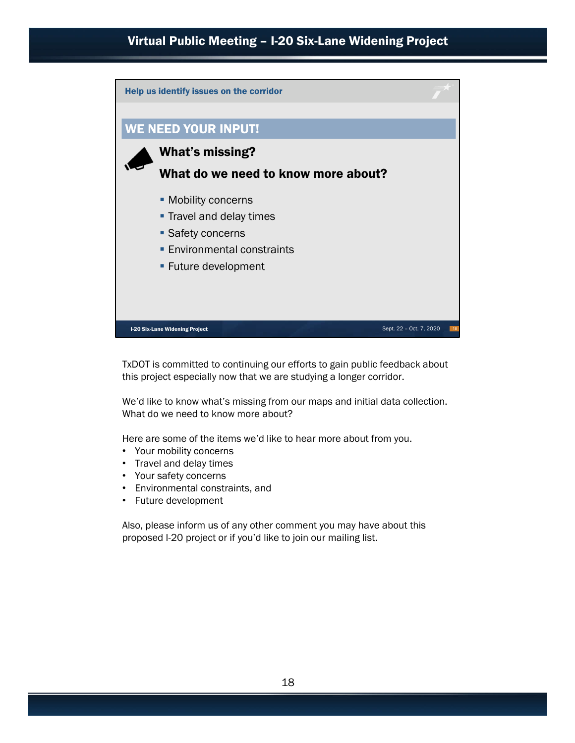

TxDOT is committed to continuing our efforts to gain public feedback about this project especially now that we are studying a longer corridor.

We'd like to know what's missing from our maps and initial data collection. What do we need to know more about?

Here are some of the items we'd like to hear more about from you.

- Your mobility concerns
- Travel and delay times
- Your safety concerns
- Environmental constraints, and
- Future development

Also, please inform us of any other comment you may have about this proposed I-20 project or if you'd like to join our mailing list.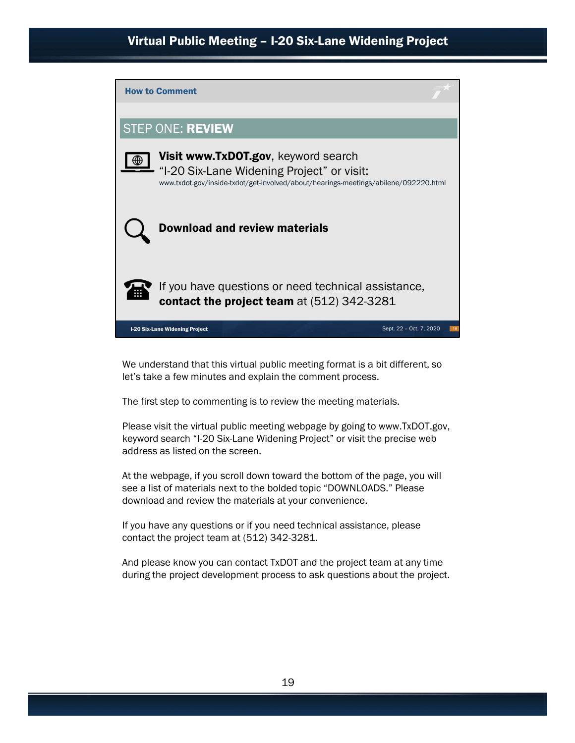

We understand that this virtual public meeting format is a bit different, so let's take a few minutes and explain the comment process.

The first step to commenting is to review the meeting materials.

Please visit the virtual public meeting webpage by going to www.TxDOT.gov, keyword search "I-20 Six-Lane Widening Project" or visit the precise web address as listed on the screen.

At the webpage, if you scroll down toward the bottom of the page, you will see a list of materials next to the bolded topic "DOWNLOADS." Please download and review the materials at your convenience.

If you have any questions or if you need technical assistance, please contact the project team at (512) 342-3281.

And please know you can contact TxDOT and the project team at any time during the project development process to ask questions about the project.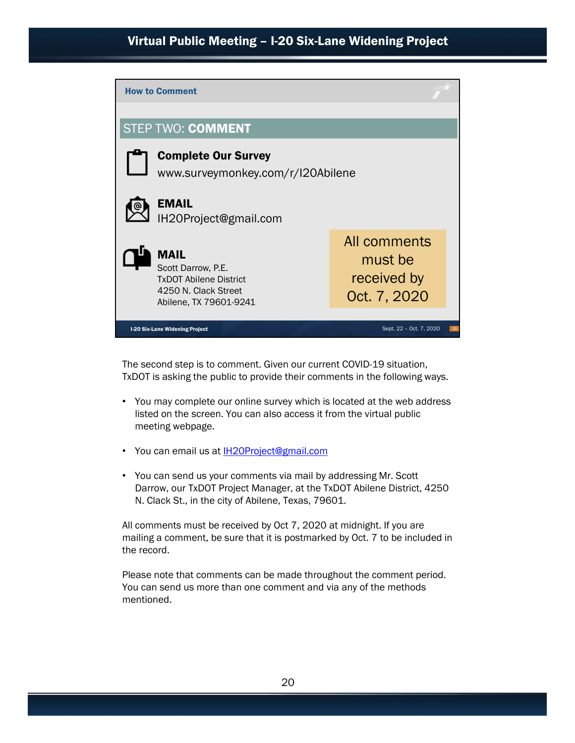| <b>How to Comment</b>                                                                                                |                                                        |  |
|----------------------------------------------------------------------------------------------------------------------|--------------------------------------------------------|--|
| <b>STEP TWO: COMMENT</b>                                                                                             |                                                        |  |
| <b>Complete Our Survey</b><br>www.surveymonkey.com/r/l20Abilene                                                      |                                                        |  |
| <b>EMAIL</b><br>IH20Project@gmail.com                                                                                |                                                        |  |
| <b>MAIL</b><br>Scott Darrow, P.E.<br><b>TxDOT Abilene District</b><br>4250 N. Clack Street<br>Abilene, TX 79601-9241 | All comments<br>must be<br>received by<br>Oct. 7, 2020 |  |
| I-20 Six-Lane Widening Project                                                                                       | Sept. 22 - Oct. 7, 2020                                |  |

The second step is to comment. Given our current COVID-19 situation, TxDOT is asking the public to provide their comments in the following ways.

- You may complete our online survey which is located at the web address listed on the screen. You can also access it from the virtual public meeting webpage.
- You can email us at **IH20Project@gmail.com**
- You can send us your comments via mail by addressing Mr. Scott Darrow, our TxDOT Project Manager, at the TxDOT Abilene District, 4250 N. Clack St., in the city of Abilene, Texas, 79601.

All comments must be received by Oct 7, 2020 at midnight. If you are mailing a comment, be sure that it is postmarked by Oct. 7 to be included in the record.

Please note that comments can be made throughout the comment period. You can send us more than one comment and via any of the methods mentioned.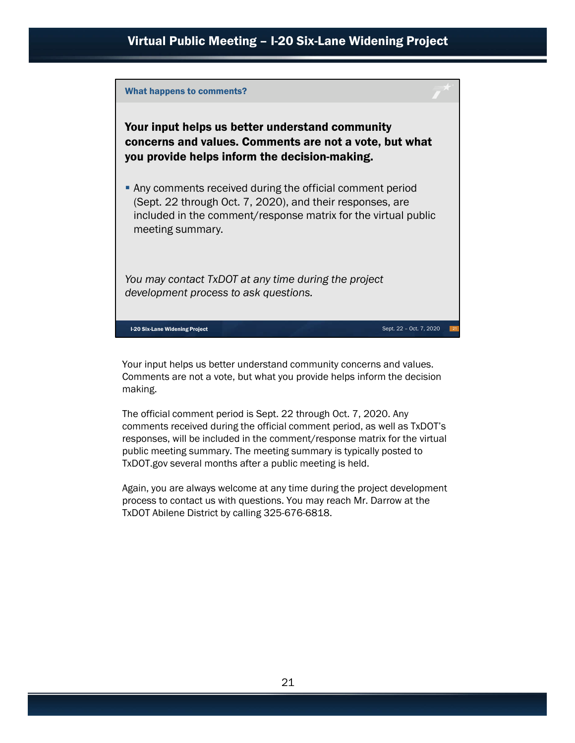

Your input helps us better understand community concerns and values. Comments are not a vote, but what you provide helps inform the decision making.

The official comment period is Sept. 22 through Oct. 7, 2020. Any comments received during the official comment period, as well as TxDOT's responses, will be included in the comment/response matrix for the virtual public meeting summary. The meeting summary is typically posted to TxDOT.gov several months after a public meeting is held.

Again, you are always welcome at any time during the project development process to contact us with questions. You may reach Mr. Darrow at the TxDOT Abilene District by calling 325-676-6818.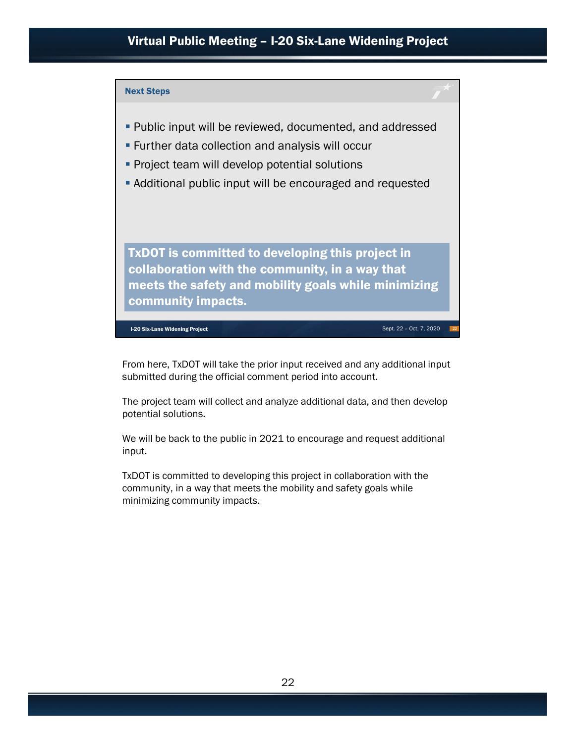#### Next Steps

- Public input will be reviewed, documented, and addressed
- **Further data collection and analysis will occur**
- **Project team will develop potential solutions**
- Additional public input will be encouraged and requested

TxDOT is committed to developing this project in collaboration with the community, in a way that meets the safety and mobility goals while minimizing community impacts.

I-20 Six-Lane Widening Project Sept. 22 – Oct. 7, 2020

From here, TxDOT will take the prior input received and any additional input submitted during the official comment period into account.

The project team will collect and analyze additional data, and then develop potential solutions.

We will be back to the public in 2021 to encourage and request additional input.

TxDOT is committed to developing this project in collaboration with the community, in a way that meets the mobility and safety goals while minimizing community impacts.